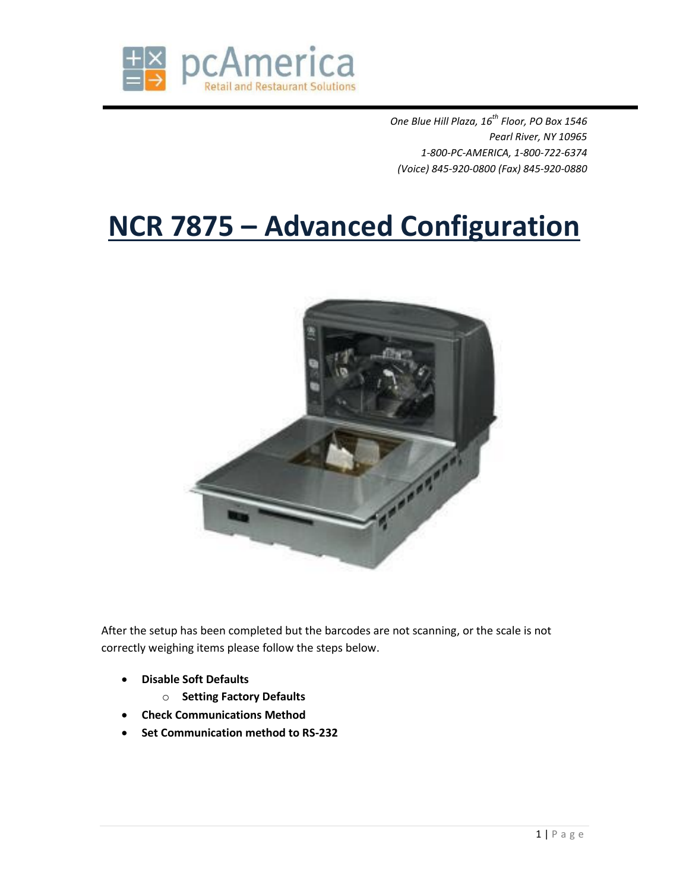

*One Blue Hill Plaza, 16th Floor, PO Box 1546 Pearl River, NY 10965 1-800-PC-AMERICA, 1-800-722-6374 (Voice) 845-920-0800 (Fax) 845-920-0880*

# **NCR 7875 – Advanced Configuration**



After the setup has been completed but the barcodes are not scanning, or the scale is not correctly weighing items please follow the steps below.

- **Disable Soft Defaults**
	- o **Setting Factory Defaults**
- **Check Communications Method**
- **Set Communication method to RS-232**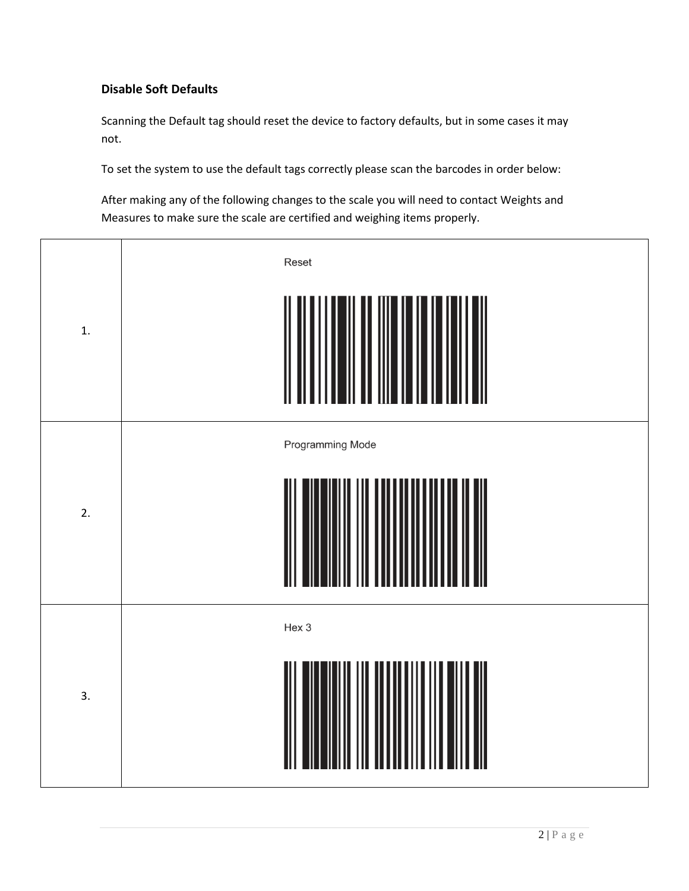## **Disable Soft Defaults**

Scanning the Default tag should reset the device to factory defaults, but in some cases it may not.

To set the system to use the default tags correctly please scan the barcodes in order below:

After making any of the following changes to the scale you will need to contact Weights and Measures to make sure the scale are certified and weighing items properly.

| 1.               | Reset            |
|------------------|------------------|
| 2.               | Programming Mode |
| $\overline{3}$ . | Hex 3            |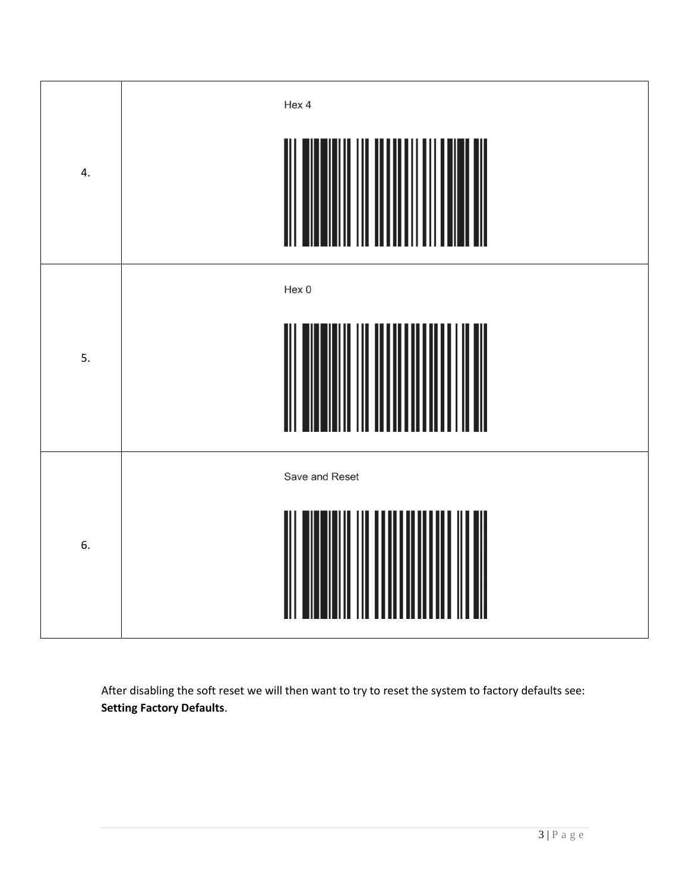| 4. | Hex 4          |
|----|----------------|
| 5. | Hex 0          |
| 6. | Save and Reset |

After disabling the soft reset we will then want to try to reset the system to factory defaults see: **Setting Factory Defaults**.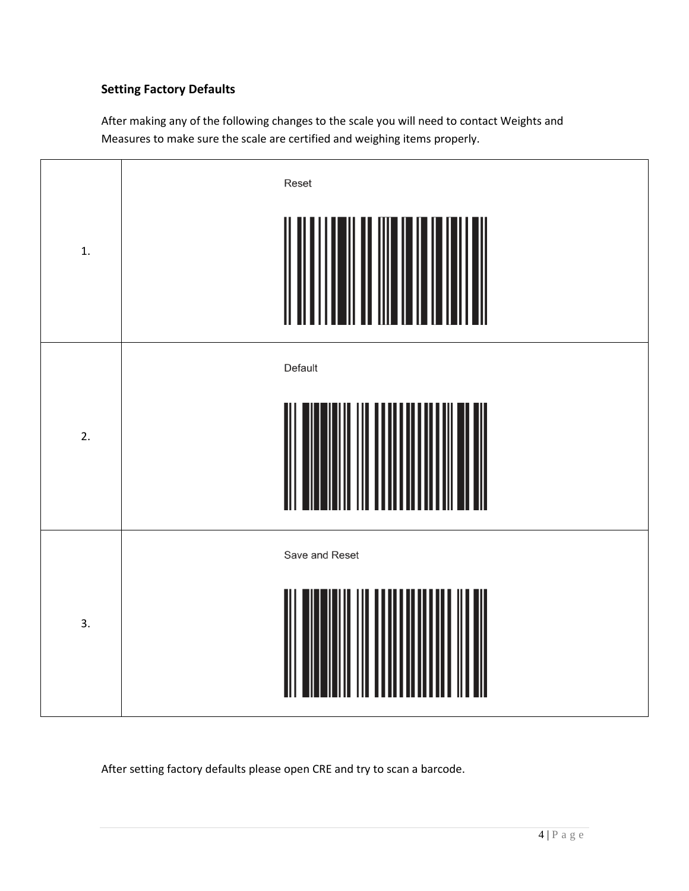## **Setting Factory Defaults**

After making any of the following changes to the scale you will need to contact Weights and Measures to make sure the scale are certified and weighing items properly.



After setting factory defaults please open CRE and try to scan a barcode.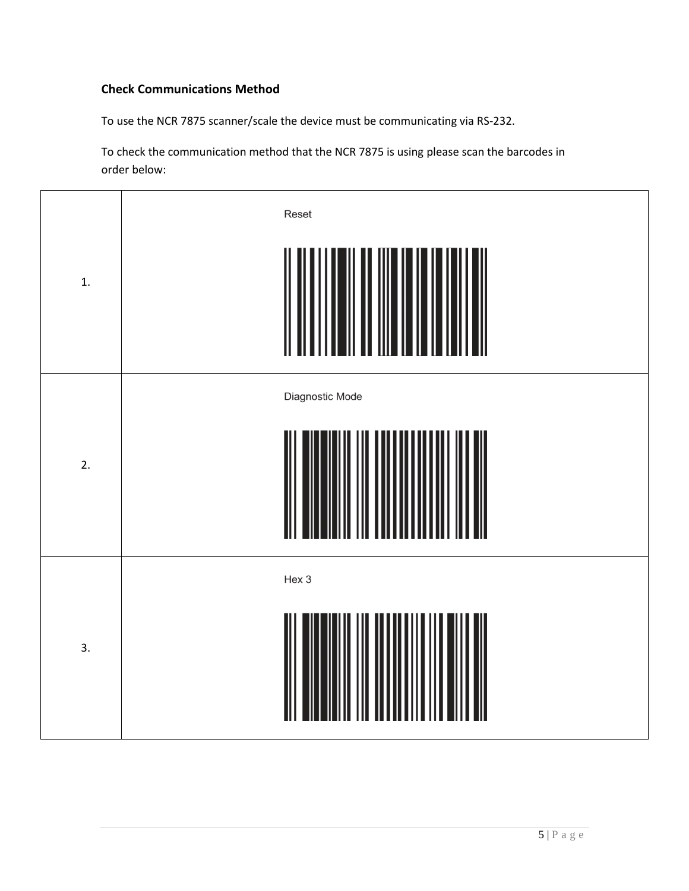#### **Check Communications Method**

To use the NCR 7875 scanner/scale the device must be communicating via RS-232.

To check the communication method that the NCR 7875 is using please scan the barcodes in order below:

| 1.               | Reset           |
|------------------|-----------------|
| 2.               | Diagnostic Mode |
| $\overline{3}$ . | Hex 3           |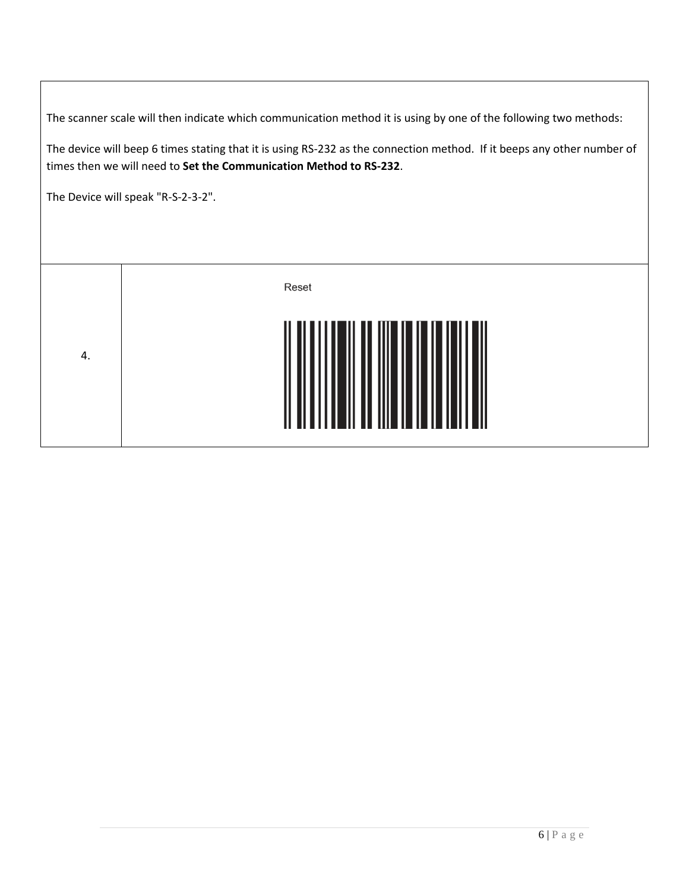The scanner scale will then indicate which communication method it is using by one of the following two methods:

The device will beep 6 times stating that it is using RS-232 as the connection method. If it beeps any other number of times then we will need to **Set the Communication Method to RS-232**.

The Device will speak "R-S-2-3-2".

|    | Reset                    |
|----|--------------------------|
| 4. | <br>                <br> |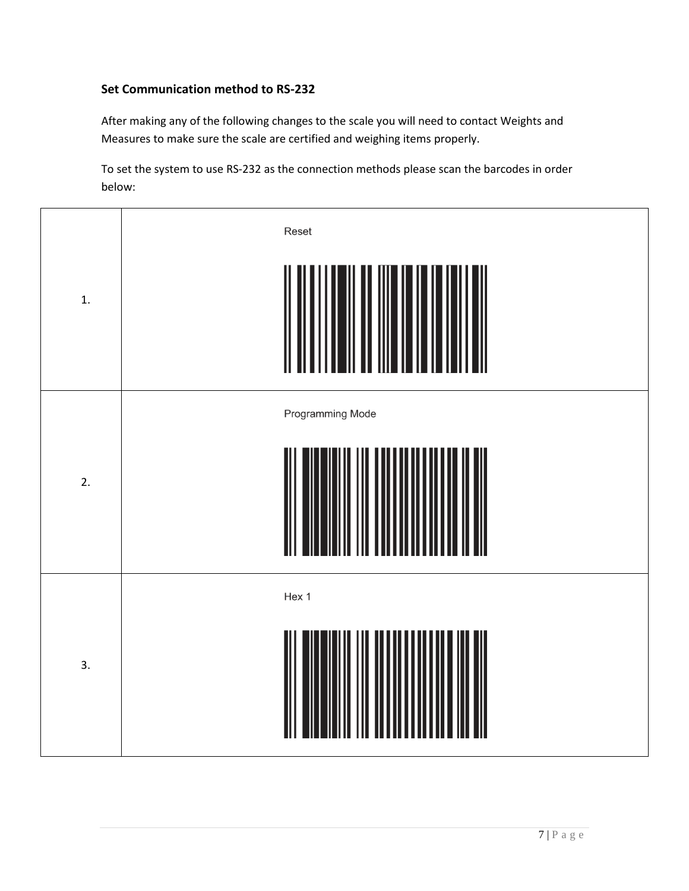#### **Set Communication method to RS-232**

After making any of the following changes to the scale you will need to contact Weights and Measures to make sure the scale are certified and weighing items properly.

To set the system to use RS-232 as the connection methods please scan the barcodes in order below:

| 1. | Reset            |
|----|------------------|
| 2. | Programming Mode |
| 3. | Hex 1            |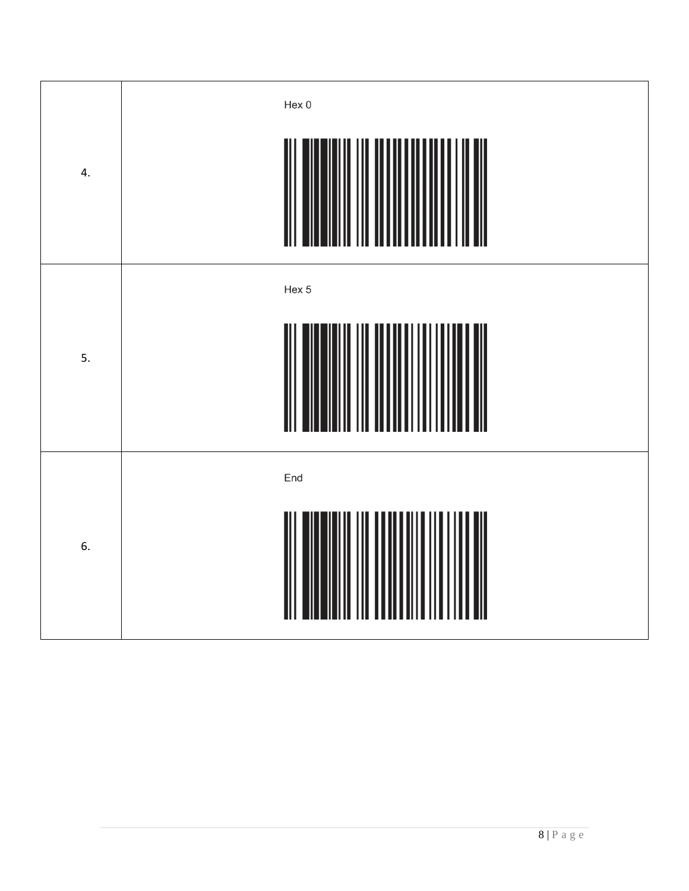| 4. | Hex 0               |
|----|---------------------|
| 5. | Hex 5<br>║          |
| 6. | End<br>$\mathbb{I}$ |